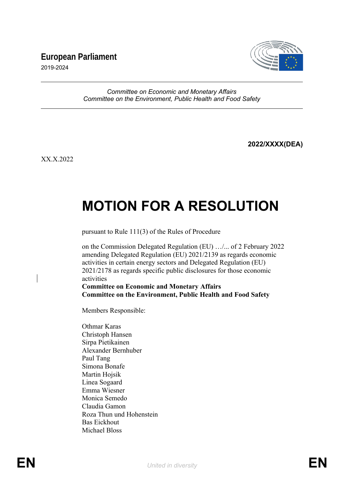## **European Parliament**



2019-2024

## *Committee on Economic and Monetary Affairs Committee on the Environment, Public Health and Food Safety*

**2022/XXXX(DEA)**

XX.X.2022

## **MOTION FOR A RESOLUTION**

pursuant to Rule 111(3) of the Rules of Procedure

on the Commission Delegated Regulation (EU) …/... of 2 February 2022 amending Delegated Regulation (EU) 2021/2139 as regards economic activities in certain energy sectors and Delegated Regulation (EU) 2021/2178 as regards specific public disclosures for those economic activities **Committee on Economic and Monetary Affairs**

**Committee on the Environment, Public Health and Food Safety**

Members Responsible:

Othmar Karas Christoph Hansen Sirpa Pietikainen Alexander Bernhuber Paul Tang Simona Bonafe Martin Hojsik Linea Sogaard Emma Wiesner Monica Semedo Claudia Gamon Roza Thun und Hohenstein Bas Eickhout Michael Bloss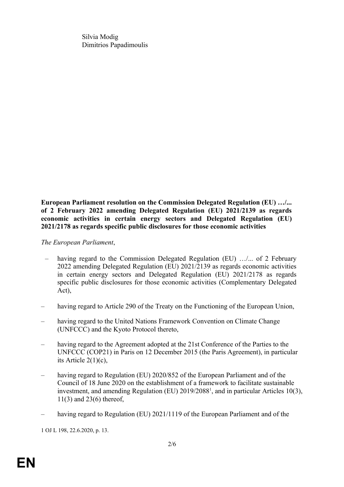Silvia Modig Dimitrios Papadimoulis

**European Parliament resolution on the Commission Delegated Regulation (EU) …/... of 2 February 2022 amending Delegated Regulation (EU) 2021/2139 as regards economic activities in certain energy sectors and Delegated Regulation (EU) 2021/2178 as regards specific public disclosures for those economic activities** 

## *The European Parliament*,

- having regard to the Commission Delegated Regulation (EU) .../... of 2 February 2022 amending Delegated Regulation (EU) 2021/2139 as regards economic activities in certain energy sectors and Delegated Regulation (EU) 2021/2178 as regards specific public disclosures for those economic activities (Complementary Delegated Act),
- having regard to Article 290 of the Treaty on the Functioning of the European Union,
- having regard to the United Nations Framework Convention on Climate Change (UNFCCC) and the Kyoto Protocol thereto,
- having regard to the Agreement adopted at the 21st Conference of the Parties to the UNFCCC (COP21) in Paris on 12 December 2015 (the Paris Agreement), in particular its Article 2(1)(c),
- <span id="page-1-0"></span>having regard to Regulation (EU) 2020/852 of the European Parliament and of the Council of 18 June 2020 on the establishment of a framework to facilitate sustainable investment, and amending Regulation (EU) 20[1](#page-1-1)9/2088<sup>1</sup>, and in particular Articles 10(3), 11(3) and 23(6) thereof,
- having regard to Regulation (EU) 2021/1119 of the European Parliament and of the

<span id="page-1-1"></span>[1](#page-1-0) OJ L 198, 22.6.2020, p. 13.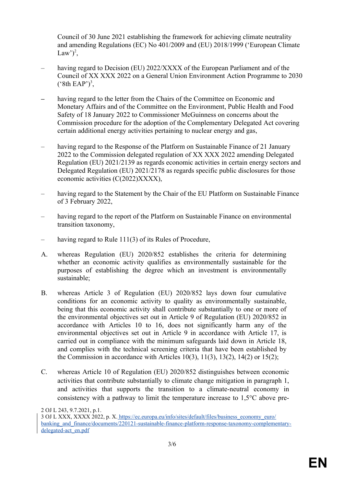<span id="page-2-0"></span>Council of 30 June 2021 establishing the framework for achieving climate neutrality and amending Regulations (EC) No 401/2009 and (EU) 2018/1999 ('European Climate Law')<sup>[2](#page-2-1)</sup>,

- having regard to Decision (EU) 2022/XXXX of the European Parliament and of the Council of XX XXX 2022 on a General Union Environment Action Programme to 2030  $(^{\circ}8th$  EAP')<sup>[3](#page-2-3)</sup>,
- <span id="page-2-2"></span>**–** having regard to the letter from the Chairs of the Committee on Economic and Monetary Affairs and of the Committee on the Environment, Public Health and Food Safety of 18 January 2022 to Commissioner McGuinness on concerns about the Commission procedure for the adoption of the Complementary Delegated Act covering certain additional energy activities pertaining to nuclear energy and gas,
- having regard to the Response of the Platform on Sustainable Finance of 21 January 2022 to the Commission delegated regulation of XX XXX 2022 amending Delegated Regulation (EU) 2021/2139 as regards economic activities in certain energy sectors and Delegated Regulation (EU) 2021/2178 as regards specific public disclosures for those economic activities (C(2022)XXXX),
- having regard to the Statement by the Chair of the EU Platform on Sustainable Finance of 3 February 2022,
- having regard to the report of the Platform on Sustainable Finance on environmental transition taxonomy,
- having regard to Rule 111(3) of its Rules of Procedure,
- A. whereas Regulation (EU) 2020/852 establishes the criteria for determining whether an economic activity qualifies as environmentally sustainable for the purposes of establishing the degree which an investment is environmentally sustainable;
- B. whereas Article 3 of Regulation (EU) 2020/852 lays down four cumulative conditions for an economic activity to quality as environmentally sustainable, being that this economic activity shall contribute substantially to one or more of the environmental objectives set out in Article 9 of Regulation (EU) 2020/852 in accordance with Articles 10 to 16, does not significantly harm any of the environmental objectives set out in Article 9 in accordance with Article 17, is carried out in compliance with the minimum safeguards laid down in Article 18, and complies with the technical screening criteria that have been established by the Commission in accordance with Articles  $10(3)$ ,  $11(3)$ ,  $13(2)$ ,  $14(2)$  or  $15(2)$ ;
- C. whereas Article 10 of Regulation (EU) 2020/852 distinguishes between economic activities that contribute substantially to climate change mitigation in paragraph 1, and activities that supports the transition to a climate-neutral economy in consistency with a pathway to limit the temperature increase to 1,5°C above pre-

<span id="page-2-3"></span><span id="page-2-1"></span>[2](#page-2-0) OJ L 243, 9.7.2021, p.1. [3](#page-2-2) OJ L XXX, XXXX 2022, p. X. https://ec.europa.eu/info/sites/default/files/business\_economy\_euro/ banking and finance/documents/220121-sustainable-finance-platform-response-taxonomy-complementarydelegated-act\_en.pdf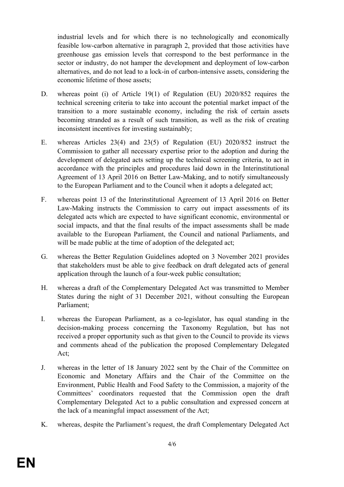industrial levels and for which there is no technologically and economically feasible low-carbon alternative in paragraph 2, provided that those activities have greenhouse gas emission levels that correspond to the best performance in the sector or industry, do not hamper the development and deployment of low-carbon alternatives, and do not lead to a lock-in of carbon-intensive assets, considering the economic lifetime of those assets;

- D. whereas point (i) of Article 19(1) of Regulation (EU) 2020/852 requires the technical screening criteria to take into account the potential market impact of the transition to a more sustainable economy, including the risk of certain assets becoming stranded as a result of such transition, as well as the risk of creating inconsistent incentives for investing sustainably;
- E. whereas Articles 23(4) and 23(5) of Regulation (EU) 2020/852 instruct the Commission to gather all necessary expertise prior to the adoption and during the development of delegated acts setting up the technical screening criteria, to act in accordance with the principles and procedures laid down in the Interinstitutional Agreement of 13 April 2016 on Better Law-Making, and to notify simultaneously to the European Parliament and to the Council when it adopts a delegated act;
- F. whereas point 13 of the Interinstitutional Agreement of 13 April 2016 on Better Law-Making instructs the Commission to carry out impact assessments of its delegated acts which are expected to have significant economic, environmental or social impacts, and that the final results of the impact assessments shall be made available to the European Parliament, the Council and national Parliaments, and will be made public at the time of adoption of the delegated act;
- G. whereas the Better Regulation Guidelines adopted on 3 November 2021 provides that stakeholders must be able to give feedback on draft delegated acts of general application through the launch of a four-week public consultation;
- H. whereas a draft of the Complementary Delegated Act was transmitted to Member States during the night of 31 December 2021, without consulting the European Parliament;
- I. whereas the European Parliament, as a co-legislator, has equal standing in the decision-making process concerning the Taxonomy Regulation, but has not received a proper opportunity such as that given to the Council to provide its views and comments ahead of the publication the proposed Complementary Delegated Act;
- J. whereas in the letter of 18 January 2022 sent by the Chair of the Committee on Economic and Monetary Affairs and the Chair of the Committee on the Environment, Public Health and Food Safety to the Commission, a majority of the Committees' coordinators requested that the Commission open the draft Complementary Delegated Act to a public consultation and expressed concern at the lack of a meaningful impact assessment of the Act;
- K. whereas, despite the Parliament's request, the draft Complementary Delegated Act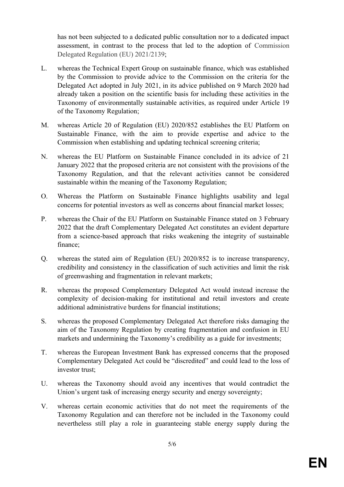has not been subjected to a dedicated public consultation nor to a dedicated impact assessment, in contrast to the process that led to the adoption of Commission Delegated Regulation (EU) 2021/2139;

- L. whereas the Technical Expert Group on sustainable finance, which was established by the Commission to provide advice to the Commission on the criteria for the Delegated Act adopted in July 2021, in its advice published on 9 March 2020 had already taken a position on the scientific basis for including these activities in the Taxonomy of environmentally sustainable activities, as required under Article 19 of the Taxonomy Regulation;
- M. whereas Article 20 of Regulation (EU) 2020/852 establishes the EU Platform on Sustainable Finance, with the aim to provide expertise and advice to the Commission when establishing and updating technical screening criteria;
- N. whereas the EU Platform on Sustainable Finance concluded in its advice of 21 January 2022 that the proposed criteria are not consistent with the provisions of the Taxonomy Regulation, and that the relevant activities cannot be considered sustainable within the meaning of the Taxonomy Regulation;
- O. Whereas the Platform on Sustainable Finance highlights usability and legal concerns for potential investors as well as concerns about financial market losses;
- P. whereas the Chair of the EU Platform on Sustainable Finance stated on 3 February 2022 that the draft Complementary Delegated Act constitutes an evident departure from a science-based approach that risks weakening the integrity of sustainable finance;
- Q. whereas the stated aim of Regulation (EU) 2020/852 is to increase transparency, credibility and consistency in the classification of such activities and limit the risk of greenwashing and fragmentation in relevant markets;
- R. whereas the proposed Complementary Delegated Act would instead increase the complexity of decision-making for institutional and retail investors and create additional administrative burdens for financial institutions;
- S. whereas the proposed Complementary Delegated Act therefore risks damaging the aim of the Taxonomy Regulation by creating fragmentation and confusion in EU markets and undermining the Taxonomy's credibility as a guide for investments;
- T. whereas the European Investment Bank has expressed concerns that the proposed Complementary Delegated Act could be "discredited" and could lead to the loss of investor trust;
- U. whereas the Taxonomy should avoid any incentives that would contradict the Union's urgent task of increasing energy security and energy sovereignty;
- V. whereas certain economic activities that do not meet the requirements of the Taxonomy Regulation and can therefore not be included in the Taxonomy could nevertheless still play a role in guaranteeing stable energy supply during the